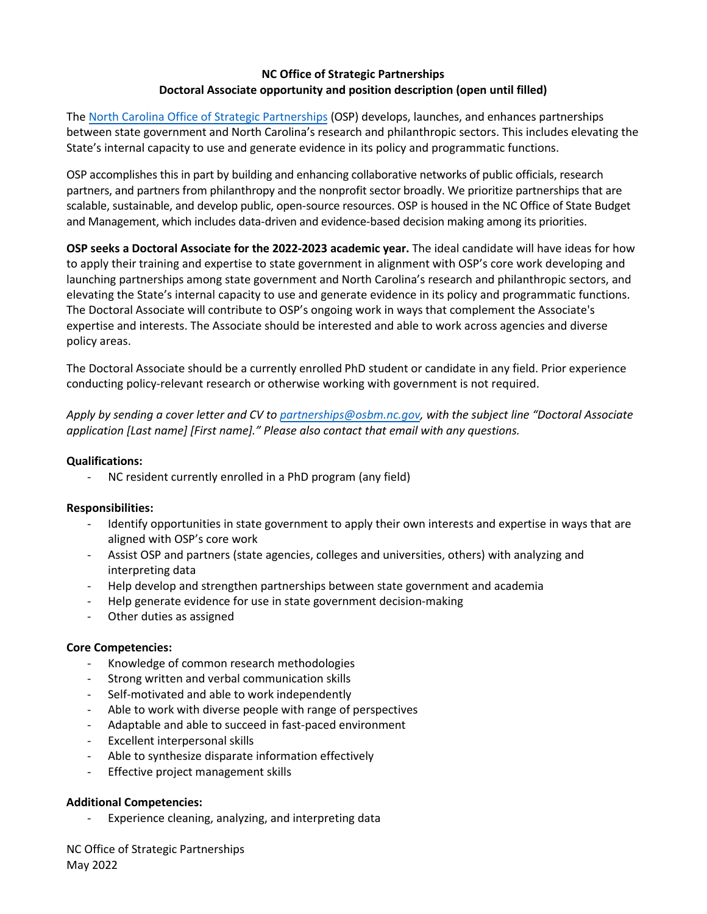# **NC Office of Strategic Partnerships Doctoral Associate opportunity and position description (open until filled)**

The North Carolina Office [of Strategic Partnerships](https://www.osbm.nc.gov/operational-excellence/nc-office-strategic-partnerships) (OSP) develops, launches, and enhances partnerships between state government and North Carolina's research and philanthropic sectors. This includes elevating the State's internal capacity to use and generate evidence in its policy and programmatic functions.

OSP accomplishes this in part by building and enhancing collaborative networks of public officials, research partners, and partners from philanthropy and the nonprofit sector broadly. We prioritize partnerships that are scalable, sustainable, and develop public, open-source resources. OSP is housed in the NC Office of State Budget and Management, which includes data-driven and evidence-based decision making among its priorities.

**OSP seeks a Doctoral Associate for the 2022-2023 academic year.** The ideal candidate will have ideas for how to apply their training and expertise to state government in alignment with OSP's core work developing and launching partnerships among state government and North Carolina's research and philanthropic sectors, and elevating the State's internal capacity to use and generate evidence in its policy and programmatic functions. The Doctoral Associate will contribute to OSP's ongoing work in ways that complement the Associate's expertise and interests. The Associate should be interested and able to work across agencies and diverse policy areas.

The Doctoral Associate should be a currently enrolled PhD student or candidate in any field. Prior experience conducting policy-relevant research or otherwise working with government is not required.

*Apply by sending a cover letter and CV to [partnerships@osbm.nc.gov,](mailto:partnerships@osbm.nc.gov) with the subject line "Doctoral Associate application [Last name] [First name]." Please also contact that email with any questions.* 

## **Qualifications:**

- NC resident currently enrolled in a PhD program (any field)

## **Responsibilities:**

- Identify opportunities in state government to apply their own interests and expertise in ways that are aligned with OSP's core work
- Assist OSP and partners (state agencies, colleges and universities, others) with analyzing and interpreting data
- Help develop and strengthen partnerships between state government and academia
- Help generate evidence for use in state government decision-making
- Other duties as assigned

## **Core Competencies:**

- Knowledge of common research methodologies
- Strong written and verbal communication skills
- Self-motivated and able to work independently
- Able to work with diverse people with range of perspectives
- Adaptable and able to succeed in fast-paced environment
- Excellent interpersonal skills
- Able to synthesize disparate information effectively
- Effective project management skills

## **Additional Competencies:**

- Experience cleaning, analyzing, and interpreting data

NC Office of Strategic Partnerships May 2022